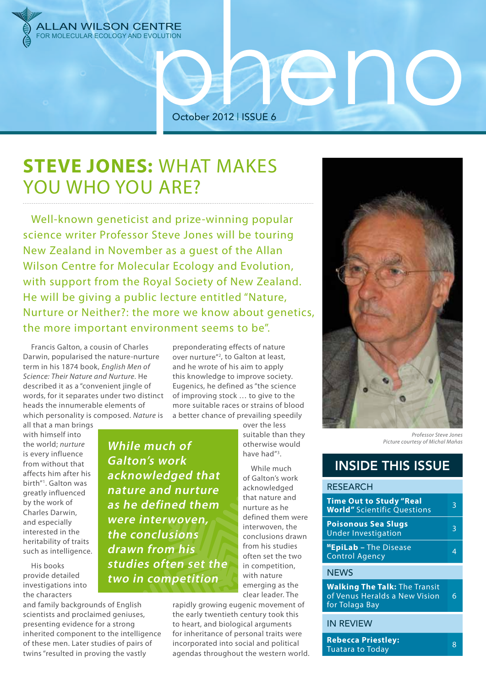

October 2012 | ISSUE 6

## **STEVE JONES:** WHAT MAKES YOU WHO YOU ARE?

Well-known geneticist and prize-winning popular science writer Professor Steve Jones will be touring New Zealand in November as a guest of the Allan Wilson Centre for Molecular Ecology and Evolution, with support from the Royal Society of New Zealand. He will be giving a public lecture entitled "Nature, Nurture or Neither?: the more we know about genetics, the more important environment seems to be".

Francis Galton, a cousin of Charles Darwin, popularised the nature-nurture term in his 1874 book, *English Men of Science: Their Nature and Nurture*. He described it as a "convenient jingle of words, for it separates under two distinct heads the innumerable elements of which personality is composed. *Nature* is

preponderating effects of nature over nurture"<sup>2</sup>, to Galton at least, and he wrote of his aim to apply this knowledge to improve society. Eugenics, he defined as "the science of improving stock … to give to the more suitable races or strains of blood a better chance of prevailing speedily

all that a man brings with himself into the world; *nurture* is every influence from without that affects him after his birth"1 . Galton was greatly influenced by the work of Charles Darwin, and especially interested in the heritability of traits such as intelligence.

His books provide detailed investigations into the characters

and family backgrounds of English scientists and proclaimed geniuses, presenting evidence for a strong inherited component to the intelligence of these men. Later studies of pairs of twins "resulted in proving the vastly

**While much of Galton's work acknowledged that nature and nurture as he defined them were interwoven, the conclusions drawn from his studies often set the two in competition**

over the less suitable than they otherwise would have had"3 .

While much of Galton's work acknowledged that nature and nurture as he defined them were interwoven, the conclusions drawn from his studies often set the two in competition, with nature emerging as the clear leader. The

rapidly growing eugenic movement of the early twentieth century took this to heart, and biological arguments for inheritance of personal traits were incorporated into social and political agendas throughout the western world.



end

*Professor Steve Jones Picture courtesy of Michal Maňas*

## INSIDE THIS ISSUE

| <b>RESEARCH</b>                                                                         |   |
|-----------------------------------------------------------------------------------------|---|
| <b>Time Out to Study "Real</b><br><b>World"</b> Scientific Questions                    | З |
| <b>Poisonous Sea Slugs</b><br><b>Under Investigation</b>                                |   |
| <b>MEpiLab - The Disease</b><br><b>Control Agency</b>                                   |   |
| <b>NEWS</b>                                                                             |   |
| <b>Walking The Talk: The Transit</b><br>of Venus Heralds a New Vision<br>for Tolaga Bay |   |
| <b>IN REVIEW</b>                                                                        |   |

**Repecta Priestiey:**<br>Tuatara to Today **8** 

**Rebecca Priestley:**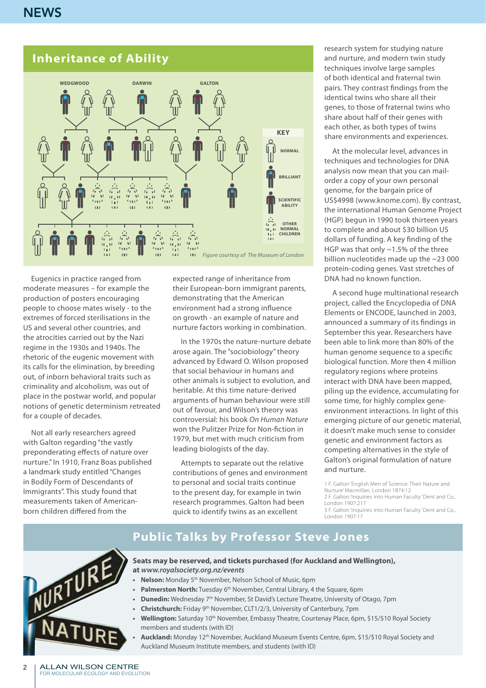#### **Inheritance of Ability**



Eugenics in practice ranged from moderate measures – for example the production of posters encouraging people to choose mates wisely - to the extremes of forced sterilisations in the US and several other countries, and the atrocities carried out by the Nazi regime in the 1930s and 1940s. The rhetoric of the eugenic movement with its calls for the elimination, by breeding out, of inborn behavioral traits such as criminality and alcoholism, was out of place in the postwar world, and popular notions of genetic determinism retreated for a couple of decades.

Not all early researchers agreed with Galton regarding "the vastly preponderating effects of nature over nurture." In 1910, Franz Boas published a landmark study entitled "Changes in Bodily Form of Descendants of Immigrants". This study found that measurements taken of Americanborn children differed from the

expected range of inheritance from their European-born immigrant parents, demonstrating that the American environment had a strong influence on growth - an example of nature and nurture factors working in combination.

In the 1970s the nature-nurture debate arose again. The "sociobiology" theory advanced by Edward O. Wilson proposed that social behaviour in humans and other animals is subject to evolution, and heritable. At this time nature-derived arguments of human behaviour were still out of favour, and Wilson's theory was controversial: his book *On Human Nature* won the Pulitzer Prize for Non-fiction in 1979, but met with much criticism from leading biologists of the day.

Attempts to separate out the relative contributions of genes and environment to personal and social traits continue to the present day, for example in twin research programmes. Galton had been quick to identify twins as an excellent

research system for studying nature and nurture, and modern twin study techniques involve large samples of both identical and fraternal twin pairs. They contrast findings from the identical twins who share all their genes, to those of fraternal twins who share about half of their genes with each other, as both types of twins share environments and experiences.

At the molecular level, advances in techniques and technologies for DNA analysis now mean that you can mailorder a copy of your own personal genome, for the bargain price of US\$4998 (www.knome.com). By contrast, the international Human Genome Project (HGP) begun in 1990 took thirteen years to complete and about \$30 billion US dollars of funding. A key finding of the HGP was that only ~1.5% of the three billion nucleotides made up the ~23 000 protein-coding genes. Vast stretches of DNA had no known function.

A second huge multinational research project, called the Encyclopedia of DNA Elements or ENCODE, launched in 2003, announced a summary of its findings in September this year. Researchers have been able to link more than 80% of the human genome sequence to a specific biological function. More then 4 million regulatory regions where proteins interact with DNA have been mapped, piling up the evidence, accumulating for some time, for highly complex geneenvironment interactions. In light of this emerging picture of our genetic material, it doesn't make much sense to consider genetic and environment factors as competing alternatives in the style of Galton's original formulation of nature and nurture.

1 F. Galton 'English Men of Science: Their Nature and Nurture' Macmillan, London 1874:12 2 F. Galton 'Inquiries into Human Faculty' Dent and Co., London 1907:217

3 F. Galton 'Inquiries into Human Faculty' Dent and Co., London 1907:17





**Seats may be reserved, and tickets purchased (for Auckland and Wellington), at** *www.royalsociety.org.nz/events*

- **Nelson:** Monday 5<sup>th</sup> November, Nelson School of Music, 6pm
- **Palmerston North:** Tuesday 6<sup>th</sup> November, Central Library, 4 the Square, 6pm
- **Dunedin:** Wednesday 7<sup>th</sup> November, St David's Lecture Theatre, University of Otago, 7pm
- **Christchurch:** Friday 9<sup>th</sup> November, CLT1/2/3, University of Canterbury, 7pm
- Wellington: Saturday 10<sup>th</sup> November, Embassy Theatre, Courtenay Place, 6pm, \$15/\$10 Royal Society members and students (with ID)
- **• Auckland:** Monday 12th November, Auckland Museum Events Centre, 6pm, \$15/\$10 Royal Society and Auckland Museum Institute members, and students (with ID)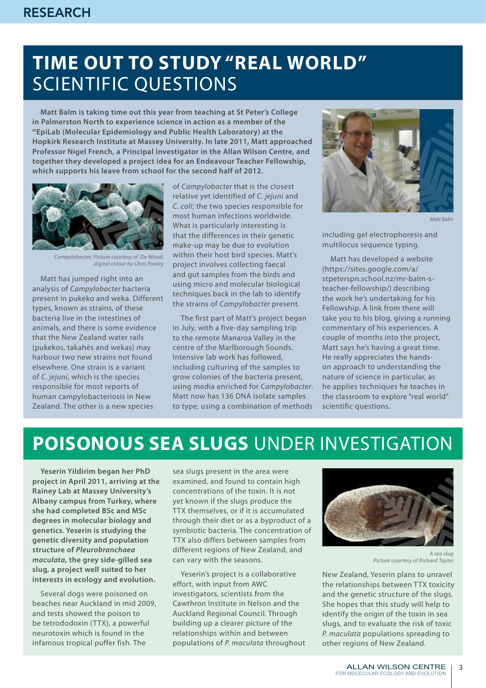# **Time out to study "real world"** scientific questions

**Matt Balm is taking time out this year from teaching at St Peter's College in Palmerston North to experience science in action as a member of the mEpiLab (Molecular Epidemiology and Public Health Laboratory) at the Hopkirk Research Institute at Massey University. In late 2011, Matt approached Professor Nigel French, a Principal Investigator in the Allan Wilson Centre, and together they developed a project idea for an Endeavour Teacher Fellowship, which supports his leave from school for the second half of 2012.** 



*Campylobacter, Picture courtesy of De Wood; digital colour by Chris Pooley*

Matt has jumped right into an analysis of *Campylobacter* bacteria present in pukeko and weka. Different types, known as strains, of these bacteria live in the intestines of animals, and there is some evidence that the New Zealand water rails (pukekos, takahēs and wekas) may harbour two new strains not found elsewhere. One strain is a variant of *C. jejuni*, which is the species responsible for most reports of human campylobacteriosis in New Zealand. The other is a new species

of *Campylobacter* that is the closest relative yet identified of *C. jejuni* and *C. coli*; the two species responsible for most human infections worldwide. What is particularly interesting is that the differences in their genetic make-up may be due to evolution within their host bird species. Matt's project involves collecting faecal and gut samples from the birds and using micro and molecular biological techniques back in the lab to identify the strains of *Campylobacter* present.

The first part of Matt's project began in July, with a five-day sampling trip to the remote Manaroa Valley in the centre of the Marlborough Sounds. Intensive lab work has followed, including culturing of the samples to grow colonies of the bacteria present, using media enriched for *Campylobacter*. Matt now has 136 DNA isolate samples to type, using a combination of methods



*Matt Balm*

including gel electrophoresis and multilocus sequence typing.

Matt has developed a website (https://sites.google.com/a/ stpeterspn.school.nz/mr-balm-steacher-fellowship/) describing the work he's undertaking for his Fellowship. A link from there will take you to his blog, giving a running commentary of his experiences. A couple of months into the project, Matt says he's having a great time. He really appreciates the handson approach to understanding the nature of science in particular, as he applies techniques he teaches in the classroom to explore "real world" scientific questions.

## **Poisonous sea slugs** under investigation

**Yeserin Yildirim began her PhD project in April 2011, arriving at the Rainey Lab at Massey University's Albany campus from Turkey, where she had completed BSc and MSc degrees in molecular biology and genetics. Yeserin is studying the genetic diversity and population structure of** *Pleurobranchaea maculata***, the grey side-gilled sea slug, a project well suited to her interests in ecology and evolution.** 

Several dogs were poisoned on beaches near Auckland in mid 2009, and tests showed the poison to be tetrododoxin (TTX), a powerful neurotoxin which is found in the infamous tropical puffer fish. The

sea slugs present in the area were examined, and found to contain high concentrations of the toxin. It is not yet known if the slugs produce the TTX themselves, or if it is accumulated through their diet or as a byproduct of a symbiotic bacteria. The concentration of TTX also differs between samples from different regions of New Zealand, and can vary with the seasons.

Yeserin's project is a collaborative effort, with input from AWC investigators, scientists from the Cawthron Institute in Nelson and the Auckland Regional Council. Through building up a clearer picture of the relationships within and between populations of *P. maculata* throughout



*A sea slug Picture courtesy of Richard Taylor*

New Zealand, Yeserin plans to unravel the relationships between TTX toxicity and the genetic structure of the slugs. She hopes that this study will help to identify the origin of the toxin in sea slugs, and to evaluate the risk of toxic *P. maculata* populations spreading to other regions of New Zealand.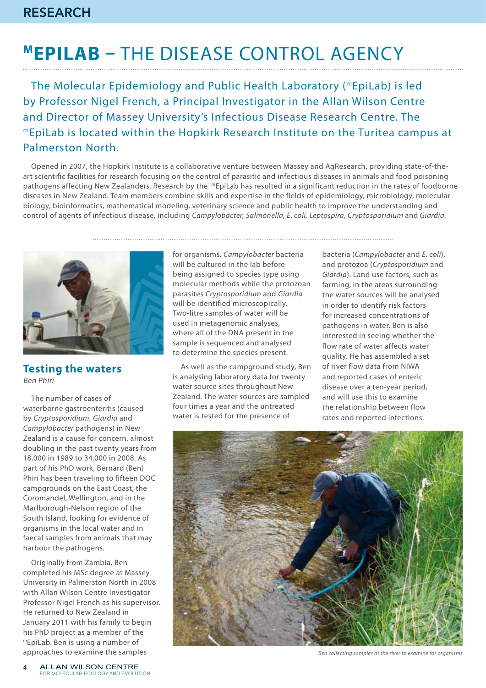# **Mepilab –** the disease control agency

The Molecular Epidemiology and Public Health Laboratory (mEpiLab) is led by Professor Nigel French, a Principal Investigator in the Allan Wilson Centre and Director of Massey University's Infectious Disease Research Centre. The mEpiLab is located within the Hopkirk Research Institute on the Turitea campus at Palmerston North.

Opened in 2007, the Hopkirk Institute is a collaborative venture between Massey and AgResearch, providing state-of-theart scientific facilities for research focusing on the control of parasitic and infectious diseases in animals and food poisoning pathogens affecting New Zealanders. Research by the mEpiLab has resulted in a significant reduction in the rates of foodborne diseases in New Zealand. Team members combine skills and expertise in the fields of epidemiology, microbiology, molecular biology, bioinformatics, mathematical modeling, veterinary science and public health to improve the understanding and control of agents of infectious disease, including *Campylobacter, Salmonella, E. coli, Leptospira, Cryptosporidium* and *Giardia.*



**Testing the waters** Ben Phiri

The number of cases of waterborne gastroenteritis (caused by *Cryptosporidium*, *Giardia* and *Campylobacter* pathogens) in New Zealand is a cause for concern, almost doubling in the past twenty years from 18,000 in 1989 to 34,000 in 2008. As part of his PhD work, Bernard (Ben) Phiri has been traveling to fifteen DOC campgrounds on the East Coast, the Coromandel, Wellington, and in the Marlborough-Nelson region of the South Island, looking for evidence of organisms in the local water and in faecal samples from animals that may harbour the pathogens.

Originally from Zambia, Ben completed his MSc degree at Massey University in Palmerston North in 2008 with Allan Wilson Centre Investigator Professor Nigel French as his supervisor. He returned to New Zealand in January 2011 with his family to begin his PhD project as a member of the mEpiLab. Ben is using a number of approaches to examine the samples

for organisms. *Campylobacter* bacteria will be cultured in the lab before being assigned to species type using molecular methods while the protozoan parasites *Cryptosporidium* and *Giardia* will be identified microscopically. Two-litre samples of water will be used in metagenomic analyses, where all of the DNA present in the sample is sequenced and analysed to determine the species present.

As well as the campground study, Ben is analysing laboratory data for twenty water source sites throughout New Zealand. The water sources are sampled four times a year and the untreated water is tested for the presence of

bacteria (*Campylobacter* and *E. coli*), and protozoa (*Cryptosporidium* and *Giardia*). Land use factors, such as farming, in the areas surrounding the water sources will be analysed in order to identify risk factors for increased concentrations of pathogens in water. Ben is also interested in seeing whether the flow rate of water affects water quality. He has assembled a set of river flow data from NIWA and reported cases of enteric disease over a ten-year period, and will use this to examine the relationship between flow rates and reported infections.



*Ben collecting samples at the river to examine for organisms*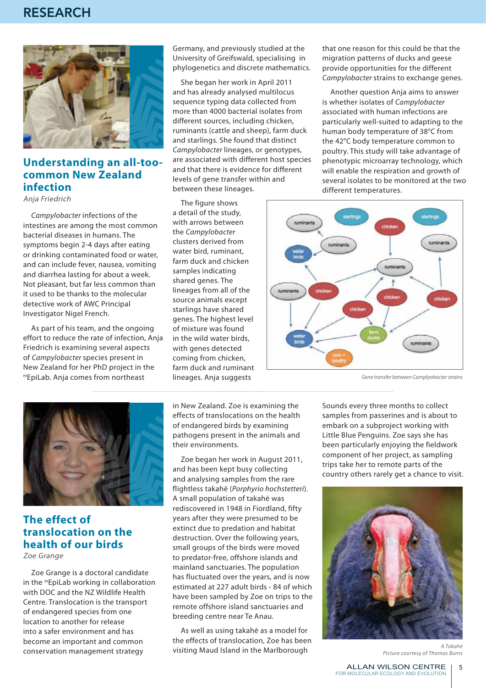

#### **Understanding an all-toocommon New Zealand infection**

Anja Friedrich

*Campylobacter* infections of the intestines are among the most common bacterial diseases in humans. The symptoms begin 2-4 days after eating or drinking contaminated food or water, and can include fever, nausea, vomiting and diarrhea lasting for about a week. Not pleasant, but far less common than it used to be thanks to the molecular detective work of AWC Principal Investigator Nigel French.

As part of his team, and the ongoing effort to reduce the rate of infection, Anja Friedrich is examining several aspects of *Campylobacter* species present in New Zealand for her PhD project in the mEpiLab. Anja comes from northeast

Germany, and previously studied at the University of Greifswald, specialising in phylogenetics and discrete mathematics.

She began her work in April 2011 and has already analysed multilocus sequence typing data collected from more than 4000 bacterial isolates from different sources, including chicken, ruminants (cattle and sheep), farm duck and starlings. She found that distinct *Campylobacter* lineages, or genotypes, are associated with different host species and that there is evidence for different levels of gene transfer within and between these lineages.

The figure shows a detail of the study, with arrows between the *Campylobacter*  clusters derived from water bird, ruminant, farm duck and chicken samples indicating shared genes. The lineages from all of the source animals except starlings have shared genes. The highest level of mixture was found in the wild water birds, with genes detected coming from chicken, farm duck and ruminant lineages. Anja suggests

that one reason for this could be that the migration patterns of ducks and geese provide opportunities for the different *Campylobacter* strains to exchange genes.

Another question Anja aims to answer is whether isolates of *Campylobacter*  associated with human infections are particularly well-suited to adapting to the human body temperature of 38°C from the 42°C body temperature common to poultry. This study will take advantage of phenotypic microarray technology, which will enable the respiration and growth of several isolates to be monitored at the two different temperatures.



*Gene transfer between Camplyobacter strains*



### **The effect of translocation on the health of our birds**

Zoe Grange

Zoe Grange is a doctoral candidate in the mEpiLab working in collaboration with DOC and the NZ Wildlife Health Centre. Translocation is the transport of endangered species from one location to another for release into a safer environment and has become an important and common conservation management strategy

in New Zealand. Zoe is examining the effects of translocations on the health of endangered birds by examining pathogens present in the animals and their environments.

Zoe began her work in August 2011, and has been kept busy collecting and analysing samples from the rare flightless takahē (*Porphyrio hochstetteri*). A small population of takahē was rediscovered in 1948 in Fiordland, fifty years after they were presumed to be extinct due to predation and habitat destruction. Over the following years, small groups of the birds were moved to predator-free, offshore islands and mainland sanctuaries. The population has fluctuated over the years, and is now estimated at 227 adult birds - 84 of which have been sampled by Zoe on trips to the remote offshore island sanctuaries and breeding centre near Te Anau.

As well as using takahē as a model for the effects of translocation, Zoe has been visiting Maud Island in the Marlborough

Sounds every three months to collect samples from passerines and is about to embark on a subproject working with Little Blue Penguins. Zoe says she has been particularly enjoying the fieldwork component of her project, as sampling trips take her to remote parts of the country others rarely get a chance to visit.



*A Takahē Picture courtesy of Thomas Burns*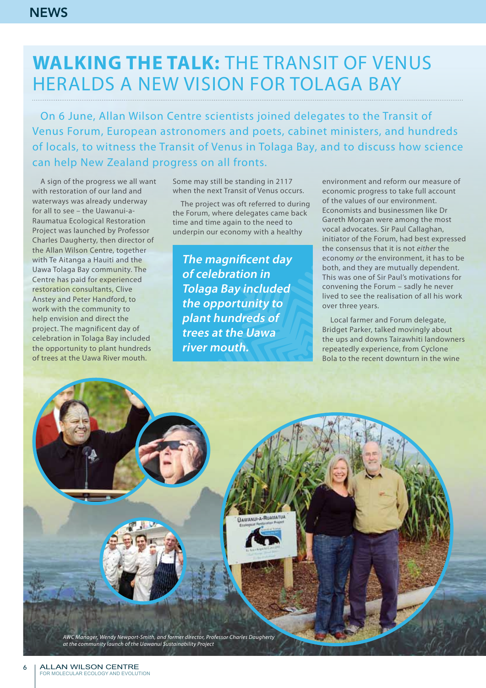# **Walking the talk:** the Transit of Venus heralds a new vision for Tolaga Bay

On 6 June, Allan Wilson Centre scientists joined delegates to the Transit of Venus Forum, European astronomers and poets, cabinet ministers, and hundreds of locals, to witness the Transit of Venus in Tolaga Bay, and to discuss how science can help New Zealand progress on all fronts.

A sign of the progress we all want with restoration of our land and waterways was already underway for all to see – the Uawanui-a-Raumatua Ecological Restoration Project was launched by Professor Charles Daugherty, then director of the Allan Wilson Centre, together with Te Aitanga a Hauiti and the Uawa Tolaga Bay community. The Centre has paid for experienced restoration consultants, Clive Anstey and Peter Handford, to work with the community to help envision and direct the project. The magnificent day of celebration in Tolaga Bay included the opportunity to plant hundreds of trees at the Uawa River mouth.

Some may still be standing in 2117 when the next Transit of Venus occurs.

The project was oft referred to during the Forum, where delegates came back time and time again to the need to underpin our economy with a healthy

**The magnificent day of celebration in Tolaga Bay included the opportunity to plant hundreds of trees at the Uawa river mouth.**

**UAWANUI-A-RUAMATUA** 

environment and reform our measure of economic progress to take full account of the values of our environment. Economists and businessmen like Dr Gareth Morgan were among the most vocal advocates. Sir Paul Callaghan, initiator of the Forum, had best expressed the consensus that it is not *either* the economy *or* the environment, it has to be both, and they are mutually dependent. This was one of Sir Paul's motivations for convening the Forum – sadly he never lived to see the realisation of all his work over three years.

Local farmer and Forum delegate, Bridget Parker, talked movingly about the ups and downs Tairawhiti landowners repeatedly experience, from Cyclone Bola to the recent downturn in the wine

*AWC Manager, Wendy Newport-Smith, and former director, Professor Charles Daugherty at the community launch of the Uawanui Sustainability Project*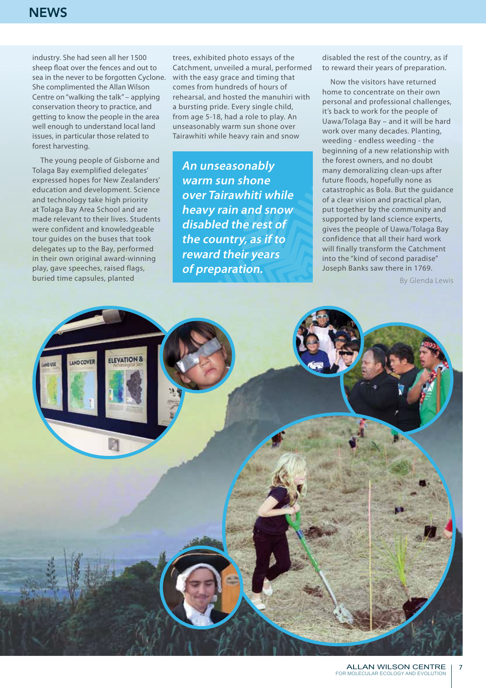industry. She had seen all her 1500 sheep float over the fences and out to sea in the never to be forgotten Cyclone. She complimented the Allan Wilson Centre on "walking the talk" – applying conservation theory to practice, and getting to know the people in the area well enough to understand local land issues, in particular those related to forest harvesting.

The young people of Gisborne and Tolaga Bay exemplified delegates' expressed hopes for New Zealanders' education and development. Science and technology take high priority at Tolaga Bay Area School and are made relevant to their lives. Students were confident and knowledgeable tour guides on the buses that took delegates up to the Bay, performed in their own original award-winning play, gave speeches, raised flags, buried time capsules, planted

trees, exhibited photo essays of the Catchment, unveiled a mural, performed with the easy grace and timing that comes from hundreds of hours of rehearsal, and hosted the manuhiri with a bursting pride. Every single child, from age 5-18, had a role to play. An unseasonably warm sun shone over Tairawhiti while heavy rain and snow

**An unseasonably warm sun shone over Tairawhiti while heavy rain and snow disabled the rest of the country, as if to reward their years of preparation.**

disabled the rest of the country, as if to reward their years of preparation.

Now the visitors have returned home to concentrate on their own personal and professional challenges, it's back to work for the people of Uawa/Tolaga Bay – and it will be hard work over many decades. Planting, weeding - endless weeding - the beginning of a new relationship with the forest owners, and no doubt many demoralizing clean-ups after future floods, hopefully none as catastrophic as Bola. But the guidance of a clear vision and practical plan, put together by the community and supported by land science experts, gives the people of Uawa/Tolaga Bay confidence that all their hard work will finally transform the Catchment into the "kind of second paradise" Joseph Banks saw there in 1769.

By Glenda Lewis